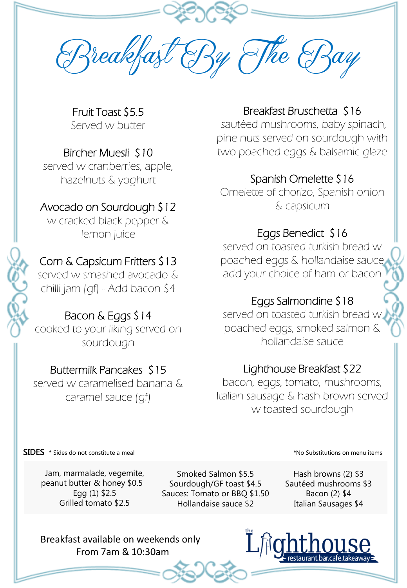reakfast & Ry & The & Ray

Fruit Toast \$5.5 Served w butter

# Bircher Muesli \$10

served w cranberries, apple, hazelnuts & yoghurt

#### Avocado on Sourdough \$12

w cracked black pepper & lemon juice

# Corn & Capsicum Fritters \$13

served w smashed avocado & chilli jam (gf) - Add bacon \$4

# Bacon & Eggs \$14

cooked to your liking served on sourdough

# Buttermilk Pancakes \$15

served w caramelised banana & caramel sauce (gf)

#### Breakfast Bruschetta \$16

sautéed mushrooms, baby spinach, pine nuts served on sourdough with two poached eggs & balsamic glaze

# Spanish Omelette \$16

Omelette of chorizo, Spanish onion & capsicum

# Eggs Benedict \$16

served on toasted turkish bread w poached eggs & hollandaise sauce add your choice of ham or bacon

# Eggs Salmondine \$18

served on toasted turkish bread w poached eggs, smoked salmon & hollandaise sauce

#### Lighthouse Breakfast \$22

bacon, eggs, tomato, mushrooms, Italian sausage & hash brown served w toasted sourdough

SIDES \* Sides do not constitute a meal **EXECUSES** \* Sides do not constitute a meal

Jam, marmalade, vegemite, peanut butter & honey \$0.5 Egg (1) \$2.5 Grilled tomato \$2.5

Smoked Salmon \$5.5 Sourdough/GF toast \$4.5 Sauces: Tomato or BBQ \$1.50 Hollandaise sauce \$2

Hash browns (2) \$3 Sautéed mushrooms \$3 Bacon (2) \$4 Italian Sausages \$4

Breakfast available on weekends only From 7am & 10:30am